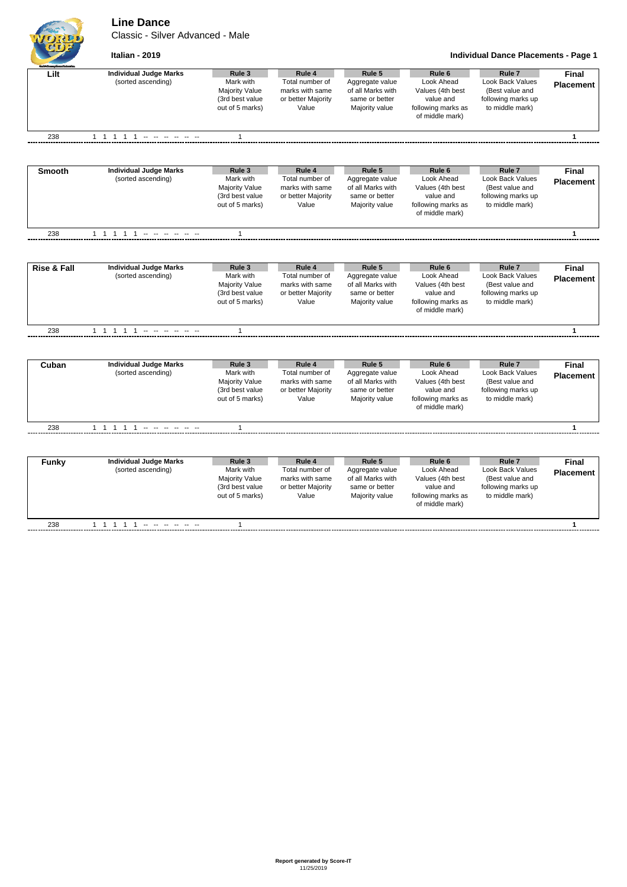**Line Dance**

Classic - Silver Advanced - Male





| Lilt                   | <b>Individual Judge Marks</b><br>(sorted ascending) | Rule 3<br>Mark with<br><b>Majority Value</b><br>(3rd best value<br>out of 5 marks) | Rule 4<br>Total number of<br>marks with same<br>or better Majority<br>Value | Rule 5<br>Aggregate value<br>of all Marks with<br>same or better<br>Majority value | Rule <sub>6</sub><br>Look Ahead<br>Values (4th best<br>value and<br>following marks as<br>of middle mark) | Rule <sub>7</sub><br><b>Look Back Values</b><br>(Best value and<br>following marks up<br>to middle mark) | Final<br><b>Placement</b>        |
|------------------------|-----------------------------------------------------|------------------------------------------------------------------------------------|-----------------------------------------------------------------------------|------------------------------------------------------------------------------------|-----------------------------------------------------------------------------------------------------------|----------------------------------------------------------------------------------------------------------|----------------------------------|
| 238                    | 1 1 1 1 1 - - - - - -                               | $\mathbf{1}$                                                                       |                                                                             |                                                                                    |                                                                                                           |                                                                                                          | $\mathbf{1}$                     |
|                        |                                                     |                                                                                    |                                                                             |                                                                                    |                                                                                                           |                                                                                                          |                                  |
| <b>Smooth</b>          | <b>Individual Judge Marks</b>                       | Rule 3                                                                             | Rule 4                                                                      | Rule 5                                                                             | Rule 6                                                                                                    | Rule <sub>7</sub>                                                                                        | <b>Final</b>                     |
|                        | (sorted ascending)                                  | Mark with<br><b>Majority Value</b><br>(3rd best value<br>out of 5 marks)           | Total number of<br>marks with same<br>or better Majority<br>Value           | Aggregate value<br>of all Marks with<br>same or better<br>Majority value           | Look Ahead<br>Values (4th best<br>value and<br>following marks as<br>of middle mark)                      | Look Back Values<br>(Best value and<br>following marks up<br>to middle mark)                             | <b>Placement</b>                 |
| 238                    | 1 1 1 1 1 - - - - - -                               | $\mathbf{1}$                                                                       |                                                                             |                                                                                    |                                                                                                           |                                                                                                          | $\mathbf{1}$                     |
|                        |                                                     |                                                                                    |                                                                             |                                                                                    |                                                                                                           |                                                                                                          |                                  |
| <b>Rise &amp; Fall</b> | <b>Individual Judge Marks</b><br>(sorted ascending) | Rule 3<br>Mark with<br><b>Majority Value</b><br>(3rd best value<br>out of 5 marks) | Rule 4<br>Total number of<br>marks with same<br>or better Majority<br>Value | Rule 5<br>Aggregate value<br>of all Marks with<br>same or better<br>Majority value | Rule <sub>6</sub><br>Look Ahead<br>Values (4th best<br>value and<br>following marks as<br>of middle mark) | Rule <sub>7</sub><br><b>Look Back Values</b><br>(Best value and<br>following marks up<br>to middle mark) | Final<br><b>Placement</b>        |
| 238                    | 1 1 1 1 1 -------                                   | $\mathbf{1}$                                                                       |                                                                             |                                                                                    |                                                                                                           |                                                                                                          | $\mathbf{1}$                     |
|                        |                                                     |                                                                                    |                                                                             |                                                                                    |                                                                                                           |                                                                                                          |                                  |
| Cuban                  | <b>Individual Judge Marks</b><br>(sorted ascending) | Rule 3<br>Mark with<br><b>Majority Value</b><br>(3rd best value<br>out of 5 marks) | Rule 4<br>Total number of<br>marks with same<br>or better Majority<br>Value | Rule 5<br>Aggregate value<br>of all Marks with<br>same or better<br>Majority value | Rule <sub>6</sub><br>Look Ahead<br>Values (4th best<br>value and<br>following marks as<br>of middle mark) | Rule <sub>7</sub><br>Look Back Values<br>(Best value and<br>following marks up<br>to middle mark)        | <b>Final</b><br><b>Placement</b> |
| 238                    | 1 1 1 1 1 -- -- -- --                               | 1                                                                                  |                                                                             |                                                                                    |                                                                                                           |                                                                                                          | 1                                |
|                        |                                                     |                                                                                    |                                                                             |                                                                                    |                                                                                                           |                                                                                                          |                                  |
| <b>Funky</b>           | <b>Individual Judge Marks</b><br>(sorted ascending) | Rule 3<br>Mark with<br>Majority Value<br>(3rd best value<br>out of 5 marks)        | Rule 4<br>Total number of<br>marks with same<br>or better Majority<br>Value | Rule 5<br>Aggregate value<br>of all Marks with<br>same or better<br>Majority value | Rule <sub>6</sub><br>Look Ahead<br>Values (4th best<br>value and<br>following marks as<br>of middle mark) | Rule <sub>7</sub><br><b>Look Back Values</b><br>(Best value and<br>following marks up<br>to middle mark) | <b>Final</b><br><b>Placement</b> |
| 238                    | 1 1 1 1 1 - - - - - -                               | $\mathbf{1}$                                                                       |                                                                             |                                                                                    |                                                                                                           |                                                                                                          | $\mathbf{1}$                     |
|                        |                                                     |                                                                                    |                                                                             |                                                                                    |                                                                                                           |                                                                                                          |                                  |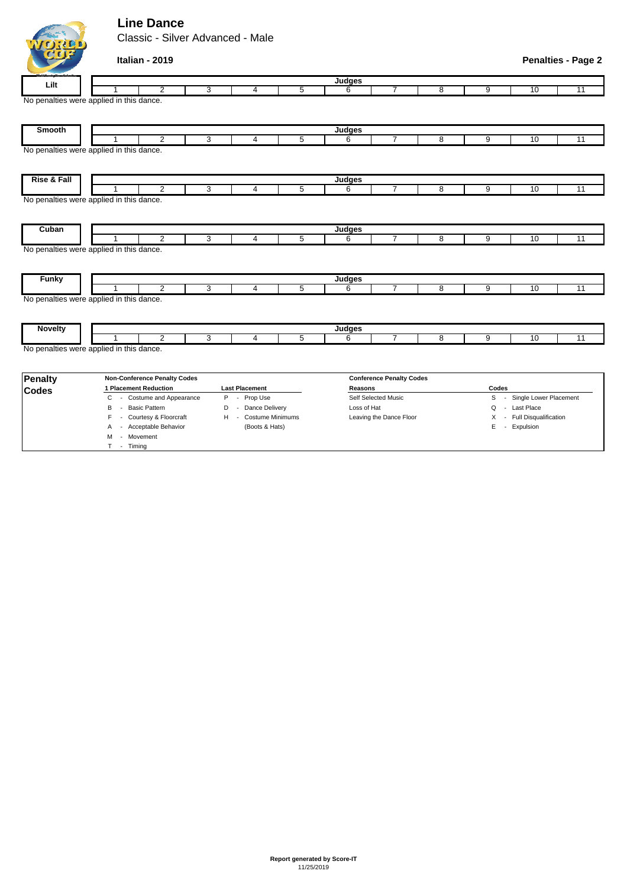## **Line Dance**

POST

M - Movement T - Timing

Classic - Silver Advanced - Male

| $\mathbf{U}_1$ , $\mathbf{U}_1$ | Italian - 2019                                             |                                   |                         |             |                             |                              |                  |       | <b>Penalties - Page 2</b> |  |  |
|---------------------------------|------------------------------------------------------------|-----------------------------------|-------------------------|-------------|-----------------------------|------------------------------|------------------|-------|---------------------------|--|--|
| Lilt                            | Judges                                                     |                                   |                         |             |                             |                              |                  |       |                           |  |  |
|                                 | $\overline{2}$                                             | 3<br>4                            | $\overline{5}$          | 6           | 7                           | 8                            | 9                | 10    | 11                        |  |  |
|                                 | No penalties were applied in this dance.                   |                                   |                         |             |                             |                              |                  |       |                           |  |  |
| <b>Smooth</b>                   |                                                            |                                   |                         | Judges      |                             |                              |                  |       |                           |  |  |
|                                 | 2                                                          | 3<br>4                            | 5                       | 6           | 7                           | 8                            | 9                | 10    | $\overline{11}$           |  |  |
|                                 | No penalties were applied in this dance.                   |                                   |                         |             |                             |                              |                  |       |                           |  |  |
| <b>Rise &amp; Fall</b>          |                                                            |                                   |                         | Judges      |                             |                              |                  |       |                           |  |  |
|                                 | $\overline{2}$<br>No penalties were applied in this dance. | 3<br>4                            | 5                       | 6           | $\overline{7}$              | 8                            | 9                | 10    | 11                        |  |  |
| Cuban                           | 2                                                          | 3<br>$\overline{4}$               | 5                       | Judges<br>6 | $\overline{7}$              | 8                            | 9                | 10    | 11                        |  |  |
| <b>Funky</b>                    | No penalties were applied in this dance.                   |                                   |                         | Judges      |                             |                              |                  |       |                           |  |  |
|                                 | $\overline{2}$                                             | 3<br>4                            | 5                       | 6           | 7                           | 8                            | 9                | 10    | $\overline{11}$           |  |  |
| <b>Novelty</b>                  | No penalties were applied in this dance.                   |                                   |                         | Judges      |                             |                              |                  |       |                           |  |  |
|                                 | $\overline{2}$                                             | 3<br>$\overline{4}$               | $\overline{5}$          | 6           | 7                           | 8                            | 9                | 10    | $\overline{11}$           |  |  |
|                                 | No penalties were applied in this dance.                   |                                   |                         |             |                             |                              |                  |       |                           |  |  |
| <b>Penalty</b>                  | <b>Non-Conference Penalty Codes</b>                        | <b>Conference Penalty Codes</b>   |                         |             |                             |                              |                  |       |                           |  |  |
| <b>Codes</b>                    | 1 Placement Reduction                                      | <b>Last Placement</b><br>Prop Use |                         |             | <b>Reasons</b>              |                              |                  | Codes |                           |  |  |
|                                 | - Costume and Appearance<br>C                              | Self Selected Music               |                         |             | Single Lower Placement<br>S |                              |                  |       |                           |  |  |
|                                 | - Basic Pattern<br>B                                       | Dance Delivery<br>D<br>$\sim$     |                         | Loss of Hat |                             |                              | Last Place<br>Q  |       |                           |  |  |
|                                 | - Courtesy & Floorcraft                                    | Costume Minimums<br>H.<br>$\sim$  | Leaving the Dance Floor |             |                             | - Full Disqualification<br>X |                  |       |                           |  |  |
|                                 | A - Acceptable Behavior                                    | (Boots & Hats)                    |                         |             |                             |                              | E<br>- Expulsion |       |                           |  |  |